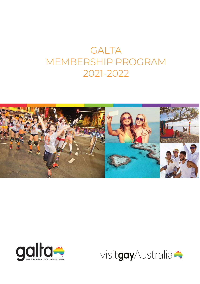# GALTA MEMBERSHIP PROGRAM 2021-2022





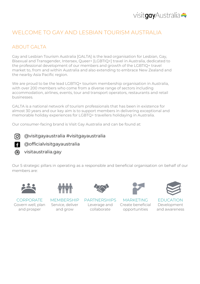

## WELCOME TO GAY AND LESBIAN TOURISM AUSTRALIA

## ABOUT GALTA

Gay and Lesbian Tourism Australia [GALTA] is the lead organisation for Lesbian, Gay, Bisexual and Transgender, Intersex, Queer+ [LGBTIQ+] travel in Australia, dedicated to the professional development of our members and growth of the LGBTIQ+ travel market to, from and within Australia and also extending to embrace New Zealand and the nearby Asia Pacific region.

We are proud to be the lead LGBTIQ+ tourism membership organisation in Australia, with over 200 members who come from a diverse range of sectors including accommodation, airlines, events, tour and transport operators, restaurants and retail businesses.

GALTA is a national network of tourism professionals that has been in existence for almost 30 years and our key aim is to support members in delivering exceptional and memorable holiday experiences for LGBTQ+ travellers holidaying in Australia.

Our consumer-facing brand is Visit Gay Australia and can be found at:

@visitgayaustralia #visitgayaustralia രി

- **3** @officialvisitgayaustralia
- ക visitaustralia.gay

Our 5 strategic pillars in operating as a responsible and beneficial organisation on behalf of our members are:





Service, deliver and grow

Leverage and collaborate



CORPORATE MEMBERSHIP PARTNERSHIPS MARKETING EDUCATION Create beneficial opportunities



Development and awareness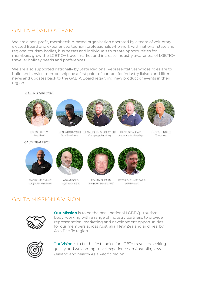## GALTA BOARD & TEAM

We are a non-profit, membership-based organisation operated by a team of voluntary elected Board and experienced tourism professionals who work with national, state and regional tourism bodies, businesses and individuals to create opportunities for members, grow the LGBTIQ+ travel market and increase industry awareness of LGBTIQ+ traveller holiday needs and preferences.

We are also supported nationally by State Regional Representatives whose roles are to build and service membership, be a first point of contact for industry liaison and filter news and updates back to the GALTA Board regarding new product or events in their region.

#### **GALTA BOARD 2021**





BEN WOODWARD SEAN HODGES-COLAVITTO Vice President







**LOUISE TERRY** President

**GALTA TEAM 2021** 



NATHAN FLEMING TNQ + Whitsundays



ADAM BOLD Sydney + NSW

Company Secretary

**DENNIS BASHAM** Social + Membership

ROD STRINGER Treasurer



PETER GLENNIE-CARR Perth + WA

## GALTA MISSION & VISION



**Our Mission** is to be the peak national LGBTIO+ tourism body, working with a range of industry partners, to provide representation, marketing and development opportunities for our members across Australia, New Zealand and nearby Asia Pacific region.

ROHAN SHEARN

Melbourne + Victoria



Our Vision is to be the first choice for LGBT+ travellers seeking quality and welcoming travel experiences in Australia, New Zealand and nearby Asia Pacific region.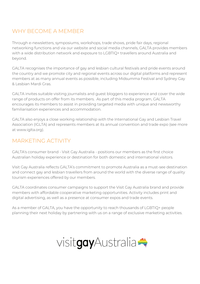# WHY BECOME A MEMBER

Through e-newsletters, symposiums, workshops, trade shows, pride fair days, regional networking functions and via our website and social media channels, GALTA provides members with a wide distribution network and exposure to LGBTIQ+ travellers around Australia and beyond.

GALTA recognises the importance of gay and lesbian cultural festivals and pride events around the country and we promote city and regional events across our digital platforms and represent members at as many annual events as possible, including Midsumma Festival and Sydney Gay & Lesbian Mardi Gras.

GALTA invites suitable visiting journalists and guest bloggers to experience and cover the wide range of products on offer from its members. As part of this media program, GALTA encourages its members to assist in providing targeted media with unique and newsworthy familiarisation experiences and accommodation.

GALTA also enjoys a close working relationship with the International Gay and Lesbian Travel Association (IGLTA) and represents members at its annual convention and trade expo (see more at www.iglta.org).

# MARKETING ACTIVITY

GALTA's consumer brand - Visit Gay Australia - positions our members as the first choice Australian holiday experience or destination for both domestic and international visitors.

Visit Gay Australia reflects GALTA's commitment to promote Australia as a must-see destination and connect gay and lesbian travellers from around the world with the diverse range of quality tourism experiences offered by our members.

GALTA coordinates consumer campaigns to support the Visit Gay Australia brand and provide members with affordable cooperative marketing opportunities. Activity includes print and digital advertising, as well as a presence at consumer expos and trade events.

As a member of GALTA, you have the opportunity to reach thousands of LGBTIQ+ people planning their next holiday by partnering with us on a range of exclusive marketing activities.

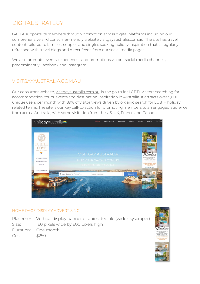# DIGITAL STRATEGY

GALTA supports its members through promotion across digital platforms including our comprehensive and consumer-friendly website visitgayaustralia.com.au. The site has travel content tailored to families, couples and singles seeking holiday inspiration that is regularly refreshed with travel blogs and direct feeds from our social media pages.

We also promote events, experiences and promotions via our social media channels, predominantly Facebook and Instagram.

## VISITGAYAUSTRALIA.COM.AU

Our consumer website, [visitgayaustralia.com.au,](https://visitgayaustralia.com.au/) is the go-to for LGBT+ visitors searching for accommodation, tours, events and destination inspiration in Australia. It attracts over 5,000 unique users per month with 89% of visitor views driven by organic search for LGBT+ holiday related terms. The site is our key call-to-action for promoting members to an engaged audience from across Australia, with some visitation from the US, UK, France and Canada.



#### HOME PAGE DISPLAY ADVERTISING

Placement: Vertical display banner or animated file (wide skyscraper) Size: 160 pixels wide by 600 pixels high Duration: One month Cost: \$250

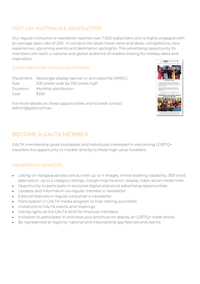#### VISIT GAY AUSTRALIA E-NEWSLETTER

Our regular consumer e-newsletter reaches over 7,500 subscribers and is highly engaged with an average open rate of 25%. It contains the latest travel news and deals, competitions, new experiences, upcoming events and destination spotlights. This advertising opportunity for members will reach a national and global audience of readers looking for holiday ideas and inspiration.

#### SUBSCRIBER EDM DISPLAY ADVERTISING

Placement: Rectangle display banner or animated file (MREC) Size: 300 pixels wide by 250 pixels high Duration: Monthly distribution Cost: \$250





# BECOME A GALTA MEMBER

GALTA membership gives businesses and individuals interested in welcoming LGBTIQ+ travellers the opportunity to market directly to these high value travellers.

#### MEMBERSHIP BENEFITS:

- Listing on visitgayaustralia.com.au with up to 4 images, online booking capability, 300 word description, up to 2 category listings, Google map location, display video, social media links
- Opportunity to participate in exclusive digital and social advertising opportunities
- Updates and information via regular member e-newsletter
- Editorial features in regular consumer e-newsletter
- Participation in GALTA media program to host visiting journalists
- Invitations to GALTA events and meetings
- Voting rights at the GALTA AGM for financial members
- Invitation to participate in and have your brochure on display at LGBTIQ+ trade shows
- Be represented at regional, national and international gay festivals and events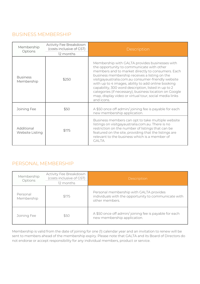## BUSINESS MEMBERSHIP

| Membership<br>Options         | Activity Fee Breakdown<br>(costs inclusive of GST)<br>12 months | Description                                                                                                                                                                                                                                                                                                                                                                                                                                                                                            |
|-------------------------------|-----------------------------------------------------------------|--------------------------------------------------------------------------------------------------------------------------------------------------------------------------------------------------------------------------------------------------------------------------------------------------------------------------------------------------------------------------------------------------------------------------------------------------------------------------------------------------------|
| <b>Business</b><br>Membership | \$250                                                           | Membership with GALTA provides businesses with<br>the opportunity to communicate with other<br>members and to market directly to consumers. Each<br>business membership receives a listing on the<br>visitgayaustralia.com.au consumer-friendly website<br>with up to 4 images, ability to add online booking<br>capability, 300 word description, listed in up to 2<br>categories (if necessary), business location on Google<br>map, display video or virtual tour, social media links<br>and icons. |
| Joining Fee                   | \$50                                                            | A \$50 once off admin/joining fee is payable for each<br>new membership application.                                                                                                                                                                                                                                                                                                                                                                                                                   |
| Additional<br>Website Listing | \$175                                                           | Business members can opt to take multiple website<br>listings on visitgayaustralia.com.au. There is no<br>restriction on the number of listings that can be<br>featured on the site, providing that the listings are<br>relevant to the business which is a member of<br>GALTA.                                                                                                                                                                                                                        |

## PERSONAL MEMBERSHIP

| Membership<br>Options  | Activity Fee Breakdown<br>(costs inclusive of GST)<br>12 months | Description                                                                                                       |
|------------------------|-----------------------------------------------------------------|-------------------------------------------------------------------------------------------------------------------|
| Personal<br>Membership | \$175                                                           | Personal membership with GALTA provides<br>individuals with the opportunity to communicate with<br>other members. |
| Joining Fee            | \$50                                                            | A \$50 once off admin/joining fee is payable for each<br>new membership application.                              |

Membership is valid from the date of joining for one (1) calendar year and an invitation to renew will be sent to members ahead of the membership expiry. Please note that GALTA and its Board of Directors do not endorse or accept responsibility for any individual members, product or service.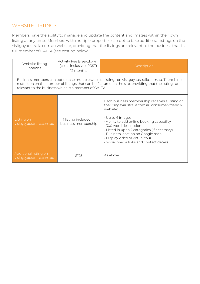### WEBSITE LISTINGS

Members have the ability to manage and update the content and images within their own listing at any time. Members with multiple properties can opt to take additional listings on the visitgayaustralia.com.au website, providing that the listings are relevant to the business that is a full member of GALTA (see costing below).

| Website listing<br>options                                                                                                                                                                                                                                             | Activity Fee Breakdown<br>(costs inclusive of GST)<br>12 months | Description                                                                                                                                                                                                                                                                                                                                                                       |  |  |
|------------------------------------------------------------------------------------------------------------------------------------------------------------------------------------------------------------------------------------------------------------------------|-----------------------------------------------------------------|-----------------------------------------------------------------------------------------------------------------------------------------------------------------------------------------------------------------------------------------------------------------------------------------------------------------------------------------------------------------------------------|--|--|
| Business members can opt to take multiple website listings on visitgayaustralia.com.au. There is no<br>restriction on the number of listings that can be featured on the site, providing that the listings are<br>relevant to the business which is a member of GALTA. |                                                                 |                                                                                                                                                                                                                                                                                                                                                                                   |  |  |
| Listing on<br>visitgayaustralia.com.au                                                                                                                                                                                                                                 | 1 listing included in<br>business membership                    | Each business membership receives a listing on<br>the visitgayaustralia.com.au consumer-friendly<br>website:<br>$\cdot$ Up to 4 images<br>. Ability to add online booking capability<br>· 300 word description<br>· Listed in up to 2 categories (if necessary)<br>· Business location on Google map<br>· Display video or virtual tour<br>Social media links and contact details |  |  |
| Additional listing on<br>visitgayaustralia.com.au                                                                                                                                                                                                                      | \$175                                                           | As above                                                                                                                                                                                                                                                                                                                                                                          |  |  |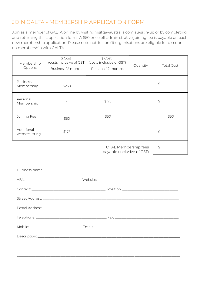# JOIN GALTA - MEMBERSHIP APPLICATION FORM

Join as a member of GALTA online by visiting [visitgayaustralia.com.au/sign-up](https://visitgayaustralia.com.au/signup/) or by completing and returning this application form. A \$50 once off administrative joining fee is payable on each new membership application. Please note not-for-profit organisations are eligible for discount on membership with GALTA.

| Membership<br>Options                                                                                                                                                                                                         | \$ Cost<br>(costs inclusive of GST)<br>Business 12 months | \$ Cost<br>(costs inclusive of GST)<br>Personal 12 months                                                     | Quantity | <b>Total Cost</b> |
|-------------------------------------------------------------------------------------------------------------------------------------------------------------------------------------------------------------------------------|-----------------------------------------------------------|---------------------------------------------------------------------------------------------------------------|----------|-------------------|
| <b>Business</b><br>Membership                                                                                                                                                                                                 | \$250                                                     |                                                                                                               |          | \$                |
| Personal<br>Membership                                                                                                                                                                                                        |                                                           | \$175                                                                                                         |          | $\updownarrow$    |
| Joining Fee                                                                                                                                                                                                                   | \$50                                                      | \$50                                                                                                          |          | \$50              |
| Additional<br>website listing                                                                                                                                                                                                 | \$175                                                     |                                                                                                               |          | \$                |
| <b>TOTAL Membership fees</b><br>$\updownarrow$<br>payable (inclusive of GST)                                                                                                                                                  |                                                           |                                                                                                               |          |                   |
|                                                                                                                                                                                                                               |                                                           |                                                                                                               |          |                   |
|                                                                                                                                                                                                                               |                                                           |                                                                                                               |          |                   |
| Street Address: No. 2008. The Contract of the Contract of the Contract of the Contract of the Contract of the Contract of the Contract of the Contract of the Contract of the Contract of the Contract of the Contract of the |                                                           |                                                                                                               |          |                   |
|                                                                                                                                                                                                                               |                                                           | Postal Address: 2008 - 2009 - 2009 - 2009 - 2009 - 2009 - 2009 - 2009 - 2009 - 2009 - 2009 - 2009 - 2009 - 20 |          |                   |
|                                                                                                                                                                                                                               |                                                           |                                                                                                               |          |                   |
|                                                                                                                                                                                                                               |                                                           |                                                                                                               |          |                   |
|                                                                                                                                                                                                                               |                                                           |                                                                                                               |          |                   |
|                                                                                                                                                                                                                               |                                                           |                                                                                                               |          |                   |
|                                                                                                                                                                                                                               |                                                           | ,我们也不能会在这里,我们的人们也不能会在这里,我们也不能会在这里,我们也不能会在这里,我们也不能会在这里,我们也不能会在这里,我们也不能会不能会不能会。""我们                             |          |                   |